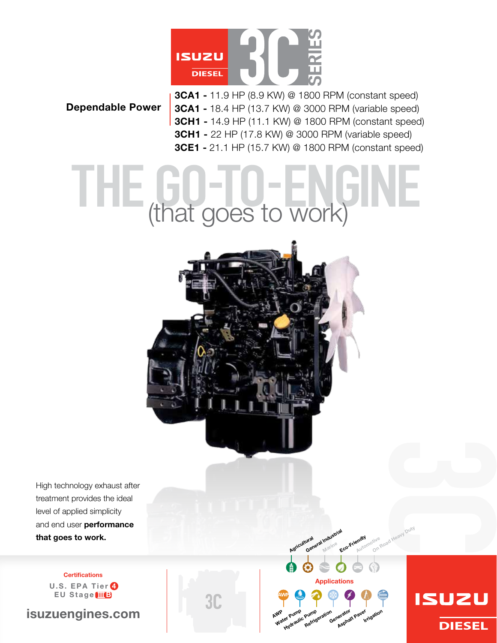

#### Dependable Power

3CA1 - 11.9 HP (8.9 kW) @ 1800 RPM (constant speed) 3CA1 - 18.4 HP (13.7 kW) @ 3000 RPM (variable speed) 3CH1 - 14.9 HP (11.1 kW) @ 1800 RPM (constant speed) 3CH1 - 22 HP (17.8 kW) @ 3000 RPM (variable speed) 3CE1 - 21.1 HP (15.7 kW) @ 1800 RPM (constant speed)

# (that goes to work)

NEED photo



**Certifications** U.S. EPA Tier  $\odot$ EU Stage IIIB

isuzuengines.com

**3C** 



ndustrial Marine

Eco-Friendly Automotive

tive <sub>Road Heavy Duty</sub>

**ISUZU** 

**DIESEL** 

Agricultural